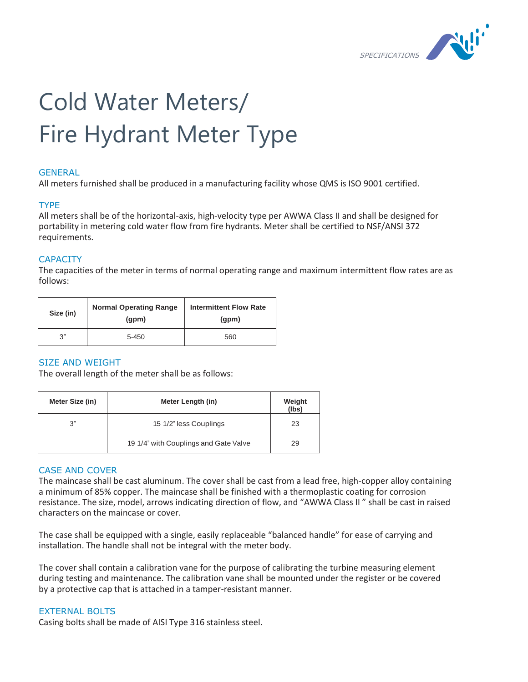

# Cold Water Meters/ Fire Hydrant Meter Type

# **GENERAL**

All meters furnished shall be produced in a manufacturing facility whose QMS is ISO 9001 certified.

# TYPE

All meters shall be of the horizontal-axis, high-velocity type per AWWA Class II and shall be designed for portability in metering cold water flow from fire hydrants. Meter shall be certified to NSF/ANSI 372 requirements.

# **CAPACITY**

The capacities of the meter in terms of normal operating range and maximum intermittent flow rates are as follows:

| Size (in) | <b>Normal Operating Range</b><br>(qpm) | <b>Intermittent Flow Rate</b><br>(gpm) |
|-----------|----------------------------------------|----------------------------------------|
| ري-       | $5 - 450$                              | 560                                    |

# SIZE AND WEIGHT

The overall length of the meter shall be as follows:

| Meter Size (in) | Meter Length (in)                     | Weight<br>(lbs) |
|-----------------|---------------------------------------|-----------------|
| 3"              | 15 1/2" less Couplings                | 23              |
|                 | 19 1/4" with Couplings and Gate Valve | 29              |

# CASE AND COVER

The maincase shall be cast aluminum. The cover shall be cast from a lead free, high-copper alloy containing a minimum of 85% copper. The maincase shall be finished with a thermoplastic coating for corrosion resistance. The size, model, arrows indicating direction of flow, and "AWWA Class II " shall be cast in raised characters on the maincase or cover.

The case shall be equipped with a single, easily replaceable "balanced handle" for ease of carrying and installation. The handle shall not be integral with the meter body.

The cover shall contain a calibration vane for the purpose of calibrating the turbine measuring element during testing and maintenance. The calibration vane shall be mounted under the register or be covered by a protective cap that is attached in a tamper-resistant manner.

# EXTERNAL BOLTS

Casing bolts shall be made of AISI Type 316 stainless steel.